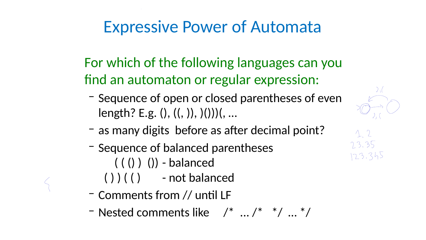## Expressive Power of Automata

- For which of the following languages can you find an automaton or regular expression:
	- Sequence of open or closed parentheses of even length? E.g. (), ((, )), )()))(, …
	- as many digits before as after decimal point? – Sequence of balanced parentheses
- - $((())())$  balanced ( ) ) ( ( ) - not balanced
	- Comments from // until LF – Nested comments like /\* ... /\* \*/ … \*/







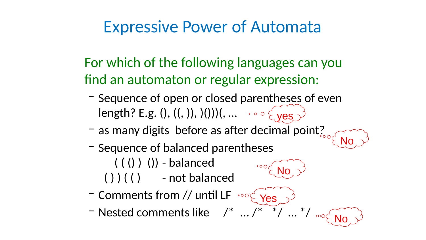## Expressive Power of Automata

- For which of the following languages can you find an automaton or regular expression:
	- Sequence of open or closed parentheses of even length? E.g. (), ((, )), )()))(, … yes
	- as many digits before as after decimal point?
	- Sequence of balanced parentheses
		- $((())())$  balanced ( ) ) ( ( ) - not balanced
	- Comments from // until LF – Nested comments like /\* ... /\* \*/ … \*/







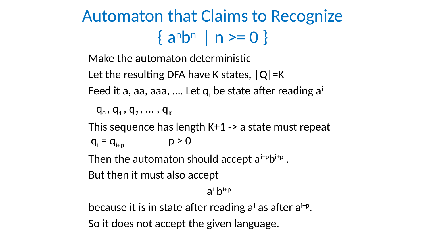

# Automaton that Claims to Recognize  $\{a^n b^n | n \ge 0\}$

- Make the automaton deterministic
- Let the resulting DFA have K states,  $|Q|$ =K
- Feed it a, aa, aaa, .... Let q<sub>i</sub> be state after reading a<sup>i</sup>
	- $q_0$  ,  $q_1$  ,  $q_2$  , ... ,  $q_k$
- This sequence has length K+1 -> a state must repeat  $q_i = q_{i+p}$   $p > 0$
- Then the automaton should accept a<sup>i+p</sup>b<sup>i+p</sup>.
- But then it must also accept ai bi+p
- because it is in state after reading a' as after a<sup>i+p</sup>. So it does not accept the given language.
	-

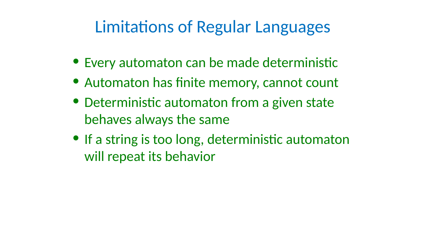# Limitations of Regular Languages

- 
- 
- 

• Every automaton can be made deterministic • Automaton has finite memory, cannot count • Deterministic automaton from a given state behaves always the same • If a string is too long, deterministic automaton will repeat its behavior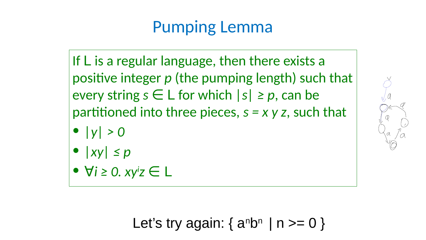If  $L$  is a regular language, then there exists a  $|$  positive integer p (the pumping length) such that  $|$ every string  $s \in L$  for which  $|s| \geq p$ , can be | partitioned into three pieces,  $s = x y z$ , such that  $\bullet$  |  $\lor$  |  $>$  0  $\bullet$  | xy|  $\leq$   $p$  $\bullet$   $\forall i \geq 0.$   $xyiz \in L$ 

# Pumping Lemma



## Let's try again:  $\{$  a<sup>n</sup>b<sup>n</sup>  $|$  n >= 0  $\}$

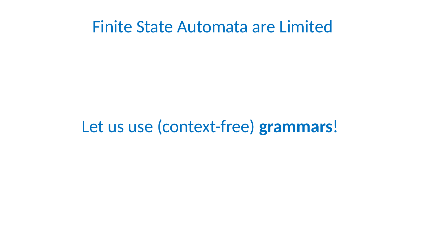## Finite State Automata are Limited

## Let us use (context-free) grammars!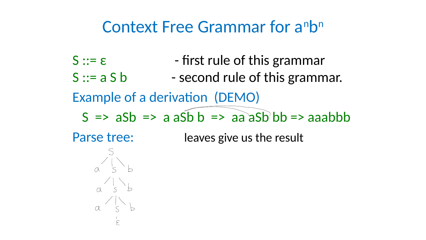

# Context Free Grammar for a<sup>n</sup>b<sup>n</sup>

 $S ::= \varepsilon$  - first rule of this grammar  $S ::= a S b$  - second rule of this grammar. Example of a derivation (DEMO)  $S \Rightarrow aSb \Rightarrow a a Sb b \Rightarrow a a a Sb b b \Rightarrow a a a b b b$ Parse tree: leaves give us the result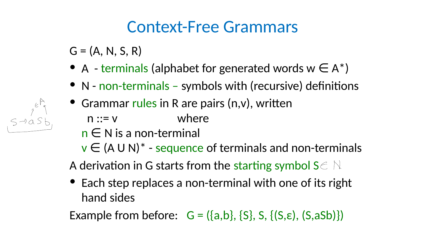

 $G = (A, N, S, R)$ 

## Context-Free Grammars

- 
- 
- Grammar rules in R are pairs (n,v), written n ::= v where
	- n ∈ N is a non-terminal
		-
		-
	- hand sides
	- Example from before:  $G = (\{a,b\}, \{S\}, S, \{(S,\varepsilon), (S,aSb)\})$

• A - terminals (alphabet for generated words  $w \in A^*$ ) • N - non-terminals – symbols with (recursive) definitions

 $v \in (A \cup N)^*$  - sequence of terminals and non-terminals A derivation in G starts from the starting symbol  $S \subset \mathbb{N}$ • Each step replaces a non-terminal with one of its right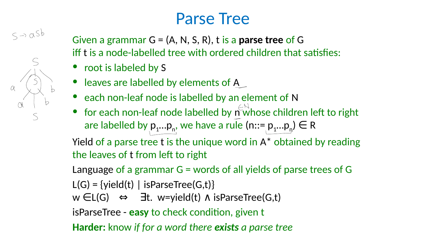## Parse Tree







- Given a grammar  $G = (A, N, S, R)$ , t is a parse tree of G iff t is a node-labelled tree with ordered children that satisfies: • root is labeled by S
- leaves are labelled by elements of A
- each non-leaf node is labelled by an element of N • for each non-leaf node labelled by n whose children left to right are labelled by  $p_1...p_n$ , we have a rule  $(n:= p_1...p_n) \in R$ Yield of a parse tree t is the unique word in A\* obtained by reading
	-
- the leaves of t from left to right
- Language of a grammar G = words of all yields of parse trees of G
- $L(G) = \{yield(t) | isParseTree(G,t)\}$ w  $\epsilon L(G) \Leftrightarrow \exists t.$  w=yield(t)  $\Lambda$  isParseTree(G,t)
- isParseTree easy to check condition, given t
- Harder: know if for a word there exists a parse tree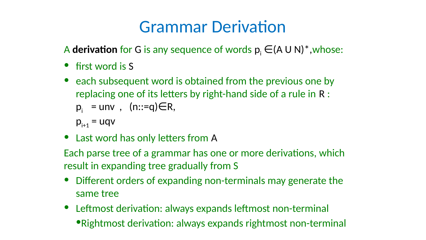# Grammar Derivation

- A derivation for G is any sequence of words  $p_i \in (A \cup N)^*$ , whose: • first word is S
- each subsequent word is obtained from the previous one by replacing one of its letters by right-hand side of a rule in R :  $p_i =$  unv,  $(n::=q) \in R$ ,
	-
	-
	- $p_{i+1} = uqv$
- Last word has only letters from A
- Each parse tree of a grammar has one or more derivations, which result in expanding tree gradually from S
- 
- Different orders of expanding non-terminals may generate the
- same tree
- Leftmost derivation: always expands leftmost non-terminal •Rightmost derivation: always expands rightmost non-terminal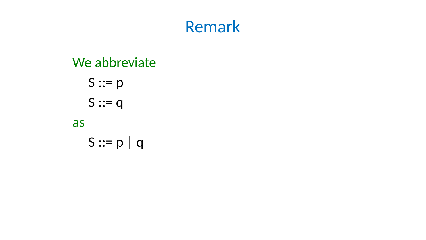

# We abbreviate S ::= p | q

S ::= p S ::= q as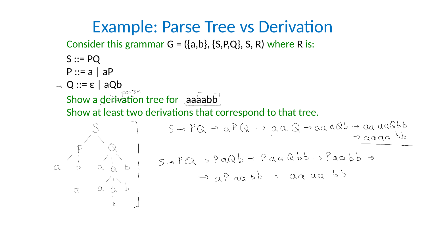## Example: Parse Tree vs Derivation Consider this grammar  $G = (\{a,b\}, \{S,P,Q\}, S, R)$  where R is:

- 
- S ::= PQ P ::= a | aP
- Q ::= ε | aQb
- 

# Show a derivation tree for aaaaabb

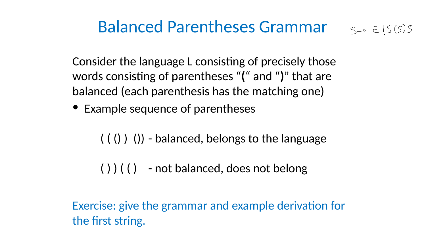

# **Balanced Parentheses Grammar**  $\leq_{\neg}$   $\in$   $|S(S)S|$

- 
- Example sequence of parentheses
	-
	- ( ) ) ( ( ) not balanced, does not belong
- Exercise: give the grammar and example derivation for the first string.

Consider the language L consisting of precisely those words consisting of parentheses "(" and ")" that are balanced (each parenthesis has the matching one)

 $((())()$  - balanced, belongs to the language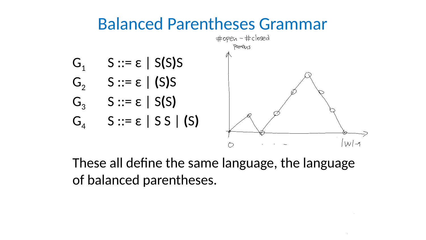

## Balanced Parentheses Grammar

- $G_1$  S ::=  $\epsilon$  | S(S)S  $G_2$  S ::=  $\epsilon$  | (S)S
- $G_3$   $S ::= \varepsilon | S(S)$
- G<sub>4</sub>  $S ::= \varepsilon | S S | (S)$

## These all define the same language, the language

of balanced parentheses.

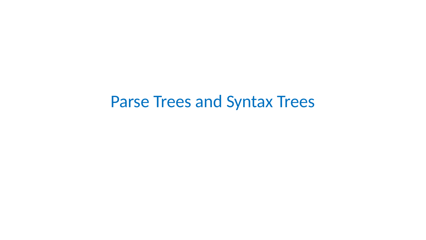## Parse Trees and Syntax Trees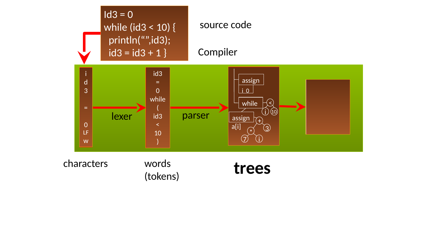

### characters words

# worus<br>(tokens) trees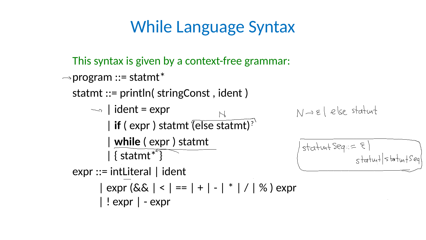## While Language Syntax

- This syntax is given by a context-free grammar:
- $\rightarrow$  program  $::=$  statmt\*
	- statmt ::= println( stringConst , ident )
		- $\rightarrow$  | ident = expr
			- | if ( expr ) statmt '( else statmt)?
				- | while ( expr ) statmt
			- | { statmt\* }
	- expr ::= intLiteral | ident
		- $| expr (& | < | == | + | | * | / | % ) expr$
		- | ! expr | expr

## $|stat$  and  $|stat$  $s+atw+|s+atw+seq|$

## $N\rightarrow \epsilon$  /  $e$  /se statut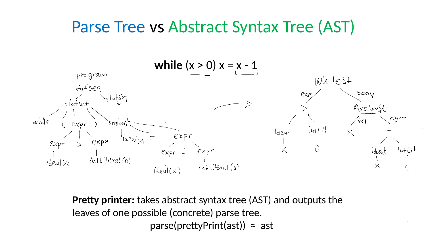## Parse Tree vs Abstract Syntax Tree (AST)

![](_page_17_Picture_1.jpeg)

![](_page_17_Picture_2.jpeg)

## while  $(x > 0) x = x - 1$

leaves of one possible (concrete) parse tree.  $parse(prettyPrint(ast)) \approx ast$ 

# Pretty printer: takes abstract syntax tree (AST) and outputs the

![](_page_17_Picture_8.jpeg)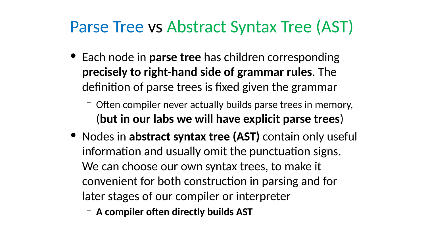![](_page_18_Picture_7.jpeg)

# Parse Tree vs Abstract Syntax Tree (AST)

- 
- 
- 
- 
- Each node in parse tree has children corresponding precisely to right-hand side of grammar rules. The definition of parse trees is fixed given the grammar – Often compiler never actually builds parse trees in memory, (but in our labs we will have explicit parse trees) • Nodes in abstract syntax tree (AST) contain only useful information and usually omit the punctuation signs. We can choose our own syntax trees, to make it convenient for both construction in parsing and for later stages of our compiler or interpreter
- A compiler often directly builds AST

![](_page_18_Picture_15.jpeg)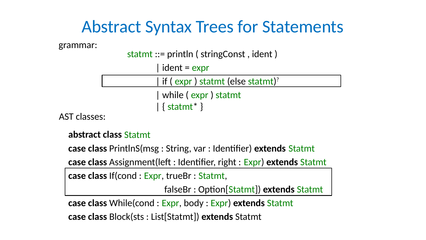## Abstract Syntax Trees for Statements

- statmt ::= println ( stringConst , ident ) | ident = expr | while ( expr ) statmt | { statmt\* }
- 

# | if ( expr ) statmt (else statmt)?

- abstract class Statmt
- case class PrintlnS(msg : String, var : Identifier) extends Statmt
- case class Assignment(left : Identifier, right : Expr) extends Statmt
- case class If(cond : Expr, trueBr : Statmt, falseBr : Option[Statmt]) extends Statmt

- 
- case class While(cond : Expr, body : Expr) extends Statmt

![](_page_19_Figure_17.jpeg)

case class Block(sts : List[Statmt]) extends Statmt

![](_page_19_Picture_0.jpeg)

### grammar:

### AST classes: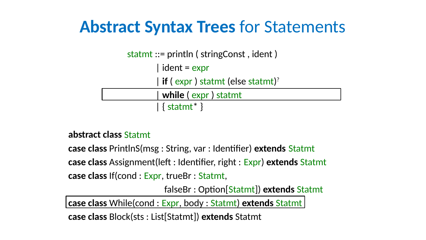## Abstract Syntax Trees for Statements

| if ( expr ) statmt (else statmt)?

- abstract class Statmt
- statmt ::= println ( stringConst , ident ) | ident = expr | while ( expr ) statmt | { statmt\* }
- 
- case class If(cond : Expr, trueBr : Statmt,
- case class Assignment(left : Identifier, right : Expr) extends Statmt
- case class PrintlnS(msg : String, var : Identifier) extends Statmt

![](_page_20_Picture_4.jpeg)

falseBr : Option[Statmt]) extends Statmt

case class While(cond : Expr, body : Statmt) extends Statmt

# case class Block(sts : List[Statmt]) extends Statmt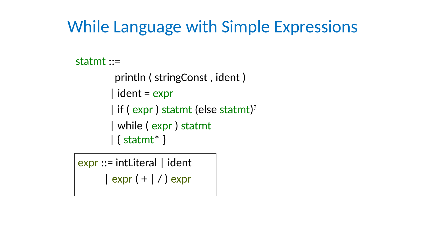## While Language with Simple Expressions

expr ::= intLiteral | ident | expr ( + | / ) expr

![](_page_21_Picture_7.jpeg)

![](_page_21_Picture_0.jpeg)

## statmt ::=

![](_page_21_Picture_2.jpeg)

## println ( stringConst , ident ) | ident = expr | if ( expr ) statmt (else statmt)? | while ( expr ) statmt | { statmt\* }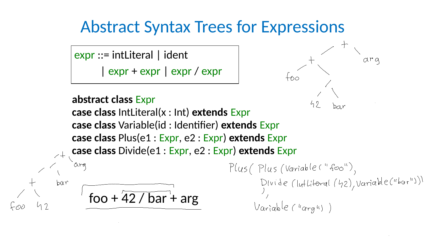![](_page_22_Picture_0.jpeg)

![](_page_22_Picture_1.jpeg)

![](_page_22_Figure_2.jpeg)

## Abstract Syntax Trees for Expressions

## abstract class Expr case class IntLiteral(x : Int) extends Expr case class Variable(id : Identifier) extends Expr case class Plus(e1 : Expr, e2 : Expr) extends Expr case class Divide(e1 : Expr, e2 : Expr) extends Expr

# foo +  $\sqrt{42 / bar}$  + arg

Plus (Plus (Variable ("foo"),  $Varialee (^\text{4}qrg4)$ 

![](_page_22_Picture_8.jpeg)

Divide (luttiferal (42), Variable ("bor"))

## expr ::= intLiteral | ident | expr + expr | expr / expr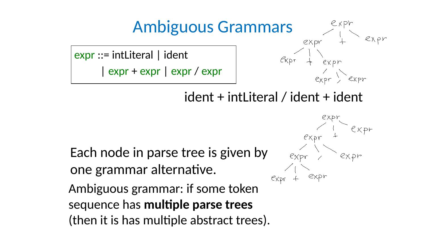![](_page_23_Figure_5.jpeg)

![](_page_23_Figure_8.jpeg)

Expr + Expr

## expr ::= intLiteral | ident | expr + expr | expr / expr

## ident + intLiteral / ident + ident

![](_page_23_Picture_0.jpeg)

## Ambiguous grammar: if some token sequence has multiple parse trees (then it is has multiple abstract trees). Each node in parse tree is given by one grammar alternative.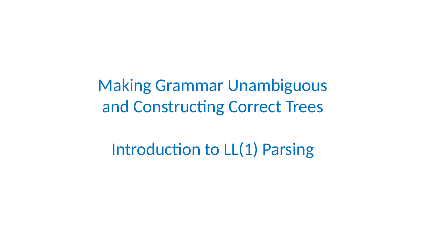# Making Grammar Unambiguous and Constructing Correct Trees

# Introduction to LL(1) Parsing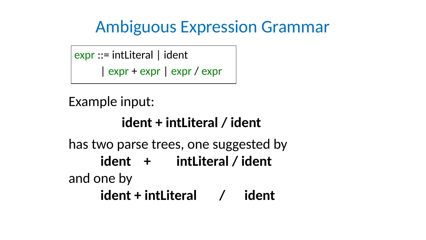# Ambiguous Expression Grammar

## expr ::= intLiteral | ident | expr + expr | expr / expr

# and one by

![](_page_25_Picture_0.jpeg)

![](_page_25_Picture_1.jpeg)

## Example input:

- ident + intLiteral / ident
- has two parse trees, one suggested by
	- ident + intLiteral / ident
		-
	- ident + intLiteral / ident

![](_page_25_Picture_13.jpeg)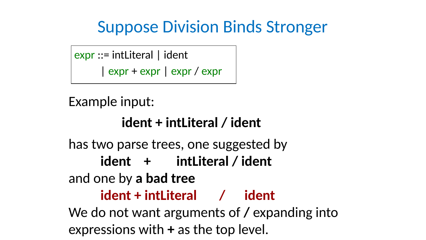# Suppose Division Binds Stronger

- expr ::= intLiteral | ident | expr + expr | expr / expr
- Example input:
	- ident + intLiteral / ident
- has two parse trees, one suggested by
	- ident + intLiteral / ident
- and one by a bad tree
	- ident + intLiteral / ident
- We do not want arguments of / expanding into expressions with + as the top level.

![](_page_26_Picture_16.jpeg)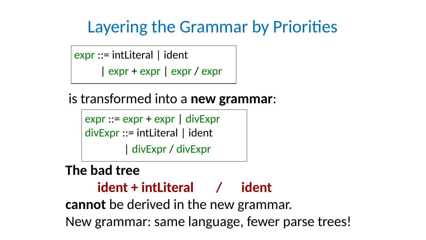# Layering the Grammar by Priorities

## expr ::= intLiteral | ident | expr + expr | expr / expr

## is transformed into a new grammar:

- expr ::= expr + expr | divExpr
- divExpr ::= intLiteral | ident | divExpr / divExpr

- ident + intLiteral / ident
	-
	-

![](_page_27_Picture_17.jpeg)

# The bad tree cannot be derived in the new grammar. New grammar: same language, fewer parse trees!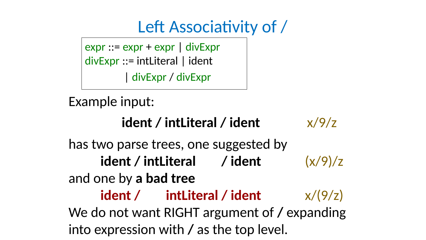![](_page_28_Picture_10.jpeg)

expr ::= expr + expr | divExpr divExpr ::= intLiteral | ident | divExpr / divExpr

## Example input:

- ident / intLiteral / ident  $x/9/z$
- has two parse trees, one suggested by
	- ident / intLiteral / ident  $(x/9)/z$
- and one by a bad tree
	-
	-

## ident / intLiteral / ident  $x/(9/z)$ We do not want RIGHT argument of / expanding into expression with / as the top level.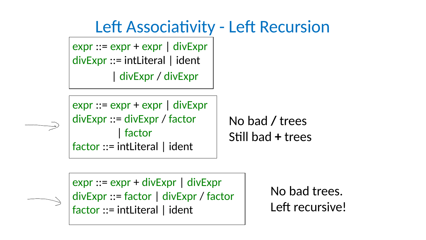Left Associativity - Left Recursion

![](_page_29_Picture_0.jpeg)

## expr ::= expr + expr | divExpr divExpr ::= intLiteral | ident | divExpr / divExpr

![](_page_29_Picture_2.jpeg)

![](_page_29_Picture_3.jpeg)

## No bad / trees Still bad + trees

- divExpr ::= divExpr / factor
- 
- expr ::= expr + expr | divExpr
- 

## | factor factor ::= intLiteral | ident

## expr ::= expr + divExpr | divExpr divExpr ::= factor | divExpr / factor factor ::= intLiteral | ident

No bad trees. Left recursive!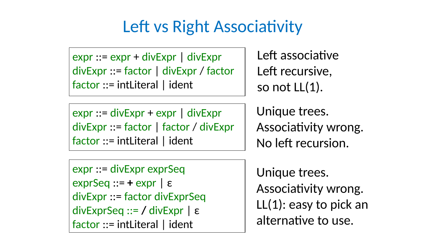expr ::= expr + divExpr | divExpr divExpr ::= factor | divExpr / factor factor ::= intLiteral | ident

## Left vs Right Associativity

Left associative Left recursive, so not LL(1).

Unique trees. Associativity wrong. No left recursion.

- expr ::= divExpr + expr | divExpr divExpr ::= factor | factor / divExpr factor ::= intLiteral | ident
- expr ::= divExpr exprSeq  $exprSeq ::= + expr \mid \varepsilon$ divExpr ::= factor divExprSeq divExprSeq ::= / divExpr | ε factor ::= intLiteral | ident

Unique trees. Associativity wrong. LL(1): easy to pick an alternative to use.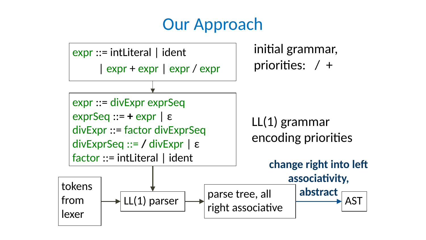## Our Approach

- $exprSeq ::= + expr | \varepsilon$
- divExpr ::= factor divExprSeq
- divExprSeq ::= / divExpr | ε factor ::= intLiteral | ident

## initial grammar, priorities: / +

## expr ::= intLiteral | ident | expr + expr | expr / expr

## expr ::= divExpr expr Seq

## LL(1) parser

![](_page_31_Figure_10.jpeg)

## tokens from lexer

![](_page_31_Picture_2.jpeg)

## LL(1) grammar encoding priorities parse tree, all right associative AST change right into left associativity, abstract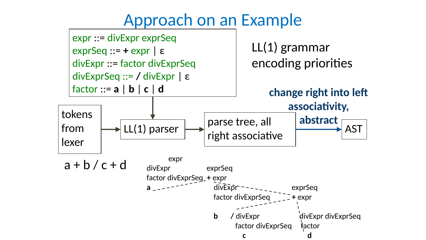# Approach on an Example

- expr ::= divExpr exprSeq
- exprSeq ::= + expr | ε
- divExpr ::= factor divExprSeq
- divExprSeq ::= / divExpr | ε

factor ::= a | b | c | d

## LL(1) grammar encoding priorities

pr divExprSeq

![](_page_32_Figure_8.jpeg)

![](_page_32_Figure_9.jpeg)

tokens from lexer

 $a + b / c + d$  expr

## parse tree, all right associative

## AST change right into left associativity, abstract

| expr                     |                             |                   |         |
|--------------------------|-----------------------------|-------------------|---------|
| divExpr                  | exprSeq                     |                   |         |
| factor divExprSeg_+ expr |                             |                   |         |
| $a_{-}$ $ -$             |                             | divExpr - - -     | exprSeq |
|                          | factor divExprSeq<br>+ expr |                   |         |
|                          |                             |                   |         |
|                          | h.                          | / divExpr         | divExp  |
|                          |                             | factor divExprSeq | factor  |
|                          |                             |                   |         |
|                          |                             |                   |         |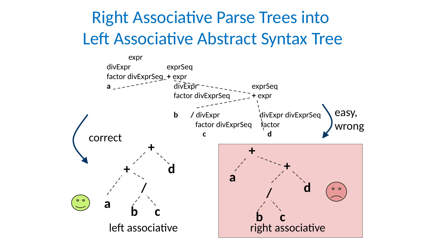# Right Associative Parse Trees into Left Associative Abstract Syntax Tree

![](_page_33_Picture_1.jpeg)

![](_page_33_Picture_2.jpeg)

/

<sup>a</sup> b c

![](_page_33_Picture_5.jpeg)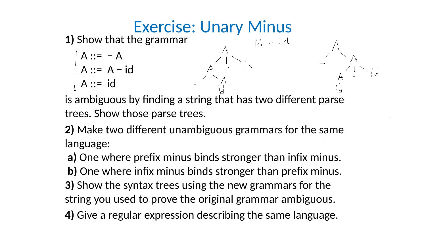A ::= − A A ::= A − id A ::= id language:

**Exercise: Unary Minus<br>1) Show that the grammar**  $\begin{bmatrix} -id & -id \end{bmatrix}$ 

- 
- 
- 
- is ambiguous by finding a string that has two different parse trees. Show those parse trees.
- 2) Make two different unambiguous grammars for the same
- a) One where prefix minus binds stronger than infix minus. b) One where infix minus binds stronger than prefix minus. 3) Show the syntax trees using the new grammars for the string you used to prove the original grammar ambiguous.

# 4) Give a regular expression describing the same language.

![](_page_34_Picture_11.jpeg)